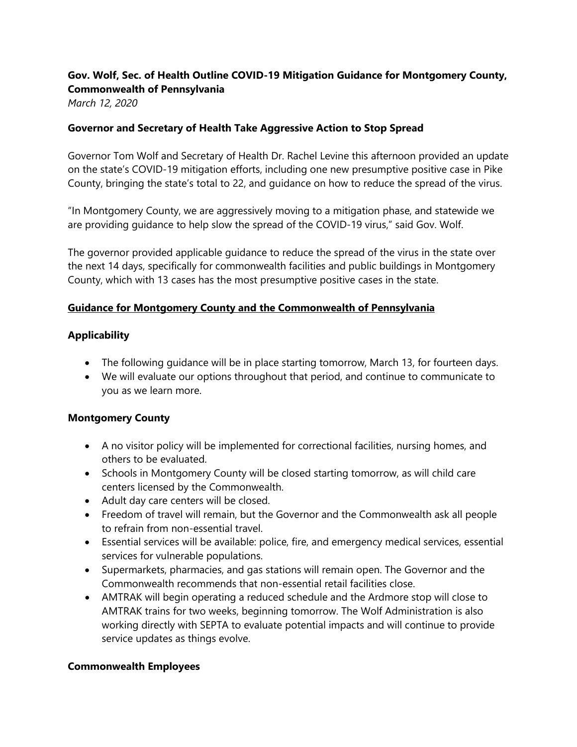# **Gov. Wolf, Sec. of Health Outline COVID-19 Mitigation Guidance for Montgomery County, Commonwealth of Pennsylvania**

*March 12, 2020*

### **Governor and Secretary of Health Take Aggressive Action to Stop Spread**

Governor Tom Wolf and Secretary of Health Dr. Rachel Levine this afternoon provided an update on the state's COVID-19 mitigation efforts, including one new presumptive positive case in Pike County, bringing the state's total to 22, and guidance on how to reduce the spread of the virus.

"In Montgomery County, we are aggressively moving to a mitigation phase, and statewide we are providing guidance to help slow the spread of the COVID-19 virus," said Gov. Wolf.

The governor provided applicable guidance to reduce the spread of the virus in the state over the next 14 days, specifically for commonwealth facilities and public buildings in Montgomery County, which with 13 cases has the most presumptive positive cases in the state.

### **Guidance for Montgomery County and the Commonwealth of Pennsylvania**

## **Applicability**

- The following guidance will be in place starting tomorrow, March 13, for fourteen days.
- We will evaluate our options throughout that period, and continue to communicate to you as we learn more.

#### **Montgomery County**

- A no visitor policy will be implemented for correctional facilities, nursing homes, and others to be evaluated.
- Schools in Montgomery County will be closed starting tomorrow, as will child care centers licensed by the Commonwealth.
- Adult day care centers will be closed.
- Freedom of travel will remain, but the Governor and the Commonwealth ask all people to refrain from non-essential travel.
- Essential services will be available: police, fire, and emergency medical services, essential services for vulnerable populations.
- Supermarkets, pharmacies, and gas stations will remain open. The Governor and the Commonwealth recommends that non-essential retail facilities close.
- AMTRAK will begin operating a reduced schedule and the Ardmore stop will close to AMTRAK trains for two weeks, beginning tomorrow. The Wolf Administration is also working directly with SEPTA to evaluate potential impacts and will continue to provide service updates as things evolve.

#### **Commonwealth Employees**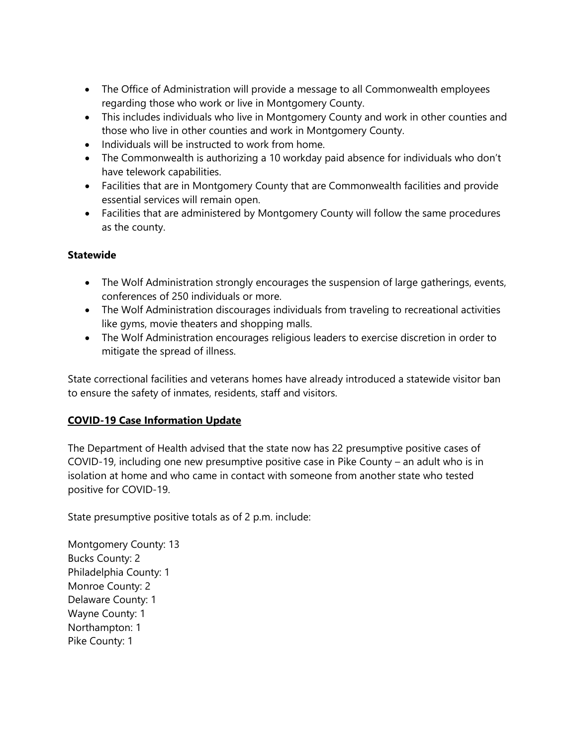- The Office of Administration will provide a message to all Commonwealth employees regarding those who work or live in Montgomery County.
- This includes individuals who live in Montgomery County and work in other counties and those who live in other counties and work in Montgomery County.
- Individuals will be instructed to work from home.
- The Commonwealth is authorizing a 10 workday paid absence for individuals who don't have telework capabilities.
- Facilities that are in Montgomery County that are Commonwealth facilities and provide essential services will remain open.
- Facilities that are administered by Montgomery County will follow the same procedures as the county.

## **Statewide**

- The Wolf Administration strongly encourages the suspension of large gatherings, events, conferences of 250 individuals or more.
- The Wolf Administration discourages individuals from traveling to recreational activities like gyms, movie theaters and shopping malls.
- The Wolf Administration encourages religious leaders to exercise discretion in order to mitigate the spread of illness.

State correctional facilities and veterans homes have already introduced a statewide visitor ban to ensure the safety of inmates, residents, staff and visitors.

## **COVID-19 Case Information Update**

The Department of Health advised that the state now has 22 presumptive positive cases of COVID-19, including one new presumptive positive case in Pike County – an adult who is in isolation at home and who came in contact with someone from another state who tested positive for COVID-19.

State presumptive positive totals as of 2 p.m. include:

Montgomery County: 13 Bucks County: 2 Philadelphia County: 1 Monroe County: 2 Delaware County: 1 Wayne County: 1 Northampton: 1 Pike County: 1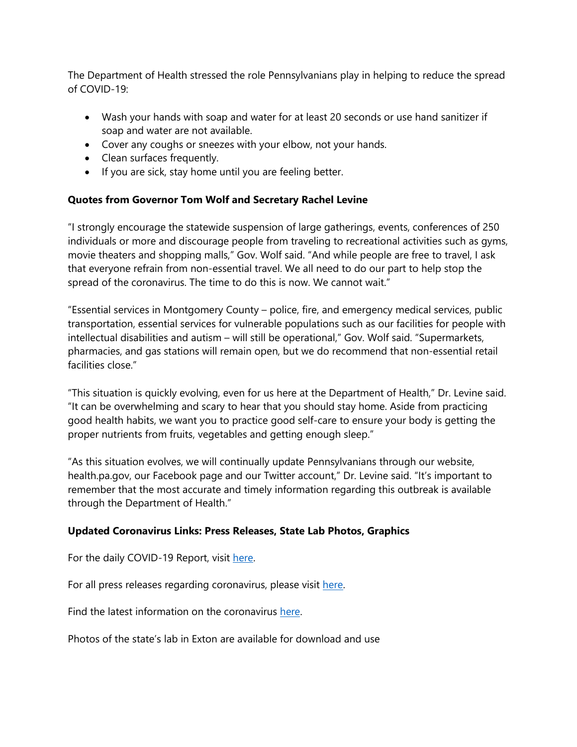The Department of Health stressed the role Pennsylvanians play in helping to reduce the spread of COVID-19:

- Wash your hands with soap and water for at least 20 seconds or use hand sanitizer if soap and water are not available.
- Cover any coughs or sneezes with your elbow, not your hands.
- Clean surfaces frequently.
- If you are sick, stay home until you are feeling better.

## **Quotes from Governor Tom Wolf and Secretary Rachel Levine**

"I strongly encourage the statewide suspension of large gatherings, events, conferences of 250 individuals or more and discourage people from traveling to recreational activities such as gyms, movie theaters and shopping malls," Gov. Wolf said. "And while people are free to travel, I ask that everyone refrain from non-essential travel. We all need to do our part to help stop the spread of the coronavirus. The time to do this is now. We cannot wait."

"Essential services in Montgomery County – police, fire, and emergency medical services, public transportation, essential services for vulnerable populations such as our facilities for people with intellectual disabilities and autism – will still be operational," Gov. Wolf said. "Supermarkets, pharmacies, and gas stations will remain open, but we do recommend that non-essential retail facilities close."

"This situation is quickly evolving, even for us here at the Department of Health," Dr. Levine said. "It can be overwhelming and scary to hear that you should stay home. Aside from practicing good health habits, we want you to practice good self-care to ensure your body is getting the proper nutrients from fruits, vegetables and getting enough sleep."

"As this situation evolves, we will continually update Pennsylvanians through our website, health.pa.gov, our Facebook page and our Twitter account," Dr. Levine said. "It's important to remember that the most accurate and timely information regarding this outbreak is available through the Department of Health."

## **Updated Coronavirus Links: Press Releases, State Lab Photos, Graphics**

For the daily COVID-19 Report, visit [here.](https://www.health.pa.gov/topics/Documents/Diseases%20and%20Conditions/COVID-19%20Situation%20Reports/20200309nCoVSituationReportExt.pdf)

For all press releases regarding coronavirus, please visit [here.](https://gcc01.safelinks.protection.outlook.com/?url=https%3A%2F%2Fu7061146.ct.sendgrid.net%2Fls%2Fclick%3Fupn%3D4tNED-2FM8iDZJQyQ53jATUTOo7soObugTvvTkmELbPhS-2BDY0I-2FOHCAozXFcpsdf16bxGrVh-2Bp-2FTmsJK6Ul9ftYNP70RXKqRydn5qQuGcKFxCbxwa9iXWuwPn-2FkEu9R2acm-2FR9xBsDJ8b3vasOSD8eNmhxjvn4qlyzywnH1PCjsAaTakDt3-2FIbzYwGU0yaXDnhmMtpKEVaJtQ5CbhkcMJQZ-2BNe-2BoJzcTfhgignXuFeEYybb7Ny2EM4px8KW1ZSyQHsi0KWKIp2aLq5UdbY3UrNII3x39PAYgcVmiODF-2Bzm3j4Qz9IVyCcjXEuibqUOV4WvpBpVA8KwrzQfBiYncD3R8m1BUa6JqqYMM4na-2FN7lECuL9g-2B6R2sFafsAMdRDcJkImeNOaGYTGWFXVLvDDO6bfDLdPmzxSnRWTdAPwN3GRAMUQHvxZ19UVDMpalxDpJN88xKVe0BvVI629I33v8SMs1MAwqC9X8u0pjhGtZF7qhoIRQvMKpPJ5Dv14KoNp4FkQwQHHMX8OOHDcDtdqWh8w0kxfEOuThXhX-2FQxzrg7J0TkjVFPC0iwtKmdjVxJ5jjvQPksp5R8gJEqUeuI3Ll-2FQqzf17Ze29cgz28De6LmQJVoWn-2Fo6hR-2BgnA2Gp-2F61a8YYrgwcKiYUBqxJvWa2CUzAbK1Hf2xjYW84nF-2BbqQzvcHb7rmnwSkbdW7-2FRYsDplesvtByv7VrDf8sXD-2FJFNhtsTX5UaRynpoWKrXEJ-2F3-2Ff-2FS57-2FlF9uSHrDtIx5SdCa0wYwTD4Gfp6y1wyjcbS3c-2FPb5ObA6r-2BIdlUp8Vcyk-2Bg-2FiJqB5dakHGHHIl9PNqIZexyU-2F-2B2IQzgVb2D1F5Msr3pdcknZgTR4rCPyJkHgPdq6nAxIbCO3BUN-2BIAp1Rbuh07m6AgbPy2C7zdwrk27aMkOwzBtb-2Fx83MFvo2wbfTLjwJCmBBREGxMPq-2FUeFzPgHWPA3ZVIPB05khqEHxMPewJv5G5VvA0HtOGP3exKDYd9VRiYDNmPLNWbx4JY0ZdeuGaHXP1XmQ3dSU1EHpJgwj8owcVo0hBBMa5yn5DvSRCF-2FDaGfcPm6R1xPHHq2fVIAjwv8lj_UDJoZmaJJJ5o1BOBpUfZvldI3DZB9I45I8J2spbWvtf7y0rmIYrcd7uwRHLEL9E3XYqy4bTLHIUBqDU9CnHKYOIGOhIJhnmZ7KORv048ZrZk8lZM-2F7NIp-2BTv-2BFkEBbia4IPEdH1sWtiiSIxXd8shaMdxSRPPss0BzfU6ijB4eRRH3clDfIPdJdqbzASG6KwUvlaESD1dm90Y-2Bs1YW3Xc1D90t8oVMf0KraHRZCI7cXrypGVrThyTJdg5sNm2xBI53IIIE6fcC4Ab4r7fyfdB2SvbmLmnvastLM5n4Y9eoEGkUCZUU-2BpSBPc-2BjfpRH9obT1-2Bv68-2FoY-2FcEdU62GbuGsA-3D-3D&data=02%7C01%7Cnwardle%40pa.gov%7Cdc6d529d206042f0452708d7c469c584%7C418e284101284dd59b6c47fc5a9a1bde%7C0%7C0%7C637193830874969454&sdata=6qjSbTW2IpKq6%2Fl46CO5kaNwsSY8fAU5jgCpQmjmlBE%3D&reserved=0)

Find the latest information on the coronavirus [here.](https://gcc01.safelinks.protection.outlook.com/?url=https%3A%2F%2Fu7061146.ct.sendgrid.net%2Fls%2Fclick%3Fupn%3D4tNED-2FM8iDZJQyQ53jATUTOo7soObugTvvTkmELbPhS-2BDY0I-2FOHCAozXFcpsdf16bxGrVh-2Bp-2FTmsJK6Ul9ftYNP70RXKqRydn5qQuGcKFxCbxwa9iXWuwPn-2FkEu9R2acm-2FR9xBsDJ8b3vasOSD8eNmhxjvn4qlyzywnH1PCjsAY7FrsIFFi4bT4Cb0zVHDkHcxRiQdpQqqtL44h-2BPkyNgs6Fb99WjzC2HWNW65aDepFbbYGDXOWijZc5v9QD50HaUqByTExA0ANomi60bVzsZyDRNHmOB0jv7jWm7O8vZA3wJ532fK-2BmNo75ahGHHur1JRVwiO3YyXWOoCiF9umz42H0UP0gBErVv5Jh1nEefU9tlKwJ8vSfaT8xnAGuFeMCqbMkF0sjZTgSg6I5S-2F415E6FSg0i5D-2FxSjYJLu2nOPVVTNTaOZU0sFYS-2Fzjwsd3Km8Nge22k0iTzl8pAm1NMx0E7b4PpYzaGKz7T7QFGOevq5jITUXOMrlsONcpgwYXRue9o6w5ZOlMaaYO2UUNd1nljm36iCmwsSmH8C1ycmzJELsEnLccDTpT3Yf0V7wQ-2FVHxLY4rBn7-2BgcQ6xYZWCH-2FJhPPzmutAW3ZVRvB69EaOIUtea6H1A1YWLq-2FoAwHH0gr8hmjgdDi86X9M2PjTQDvrh6-2FpsnvAYq997nO-2BFemhvwEjwlW7P7XEfY3SgFGUVp015se87uyyoZNEFnCdqViSSCEfLJ-2BiVC8R0G4T0WLvvLfQOIkYnNFZ9mEs-2BiaC-2BkxuJntED-2BJ8DZkYmAo0g69elCfi1uc-2BB0nfKv5jnP2SroUku8id5b-2FLewDlH7kkhJlBiEVgE07PV3ezJ0al2O7cAi7kwLOwX0cFRD0jgB2vTmwvE3U0JQ-2BnEF5cJATl88DzFAQiLBzIGnq5o73RO69TVZgRSdtHtdEOK5dLrAMuRczjJqmF4tTuHVghSCYybmMsxUGo-2F7OmClMn2ZsybgUB5I2kEz8eU2KS7SpNqLOA7dhNLfYaTe7UJUAXUl0OdD-2BthEYA9gLU-2BwGeFn3ZzI43-2BvkWKnu6SHF-2FN2Yd6cU-2FTPLJ3-2FUAogcnDNAm-2FxK8Mxi7E-2BHHhUh6QJegBkW6t1g-3D-3D0qWI_UDJoZmaJJJ5o1BOBpUfZvldI3DZB9I45I8J2spbWvtf7y0rmIYrcd7uwRHLEL9E3XYqy4bTLHIUBqDU9CnHKYOIGOhIJhnmZ7KORv048ZrZk8lZM-2F7NIp-2BTv-2BFkEBbia4IPEdH1sWtiiSIxXd8shaMdxSRPPss0BzfU6ijB4eRRH3clDfIPdJdqbzASG6KwUASDFGQQOc-2BkqjVhhn7CEdHZOmOJfvY2LV7gkN6VLxSsFwAQTpmQilKYmf8iS3-2F2GEVqXWH9G7LlxGXMOENp1wSSLLhFm8cHxejBJm9AQ2J8dpPMo3nY3h5IHUE6aFsZfZvaFzOQC1iIEkRTcuPHGqg-3D-3D&data=02%7C01%7Cnwardle%40pa.gov%7Cdc6d529d206042f0452708d7c469c584%7C418e284101284dd59b6c47fc5a9a1bde%7C0%7C0%7C637193830874969454&sdata=Rj1ctOT0qgbvY%2FKnmOreMx1G%2FdeorKqDOZnP8yCzlpU%3D&reserved=0)

Photos of the state's lab in Exton are available for download and use